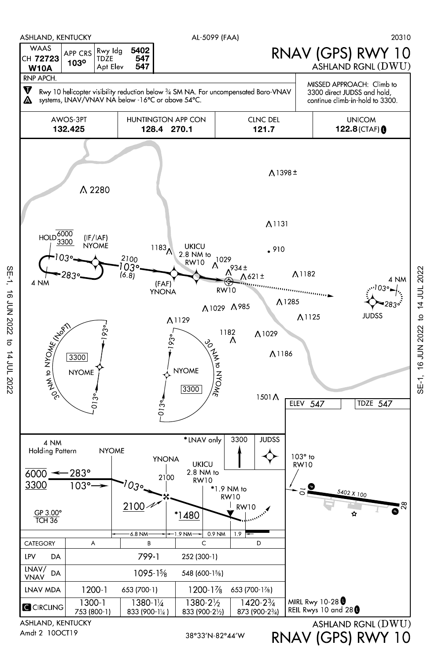

Amdt 2 10OCT19

SE-1, 16 JUN 2022 to 14 JUL 2022

 $\sigma$ 

14 JUL 2022

**16 JUN 2022** 

SE-1,

RNAV (GPS) RWY 10